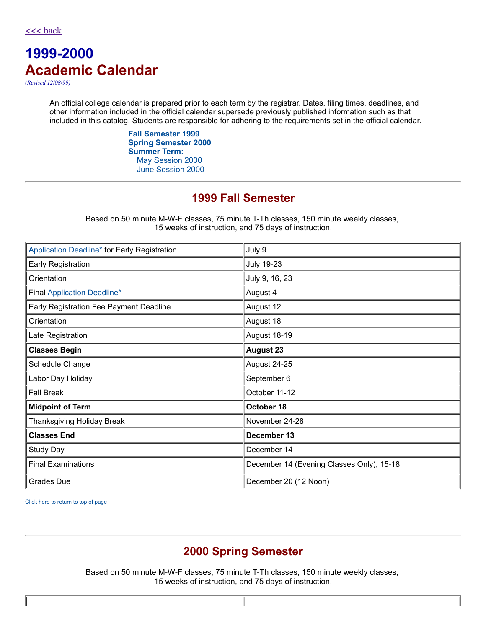# **1999-2000 Academic Calendar**

*(Revised 12/08/99)*

An official college calendar is prepared prior to each term by the registrar. Dates, filing times, deadlines, and other information included in the official calendar supersede previously published information such as that included in this catalog. Students are responsible for adhering to the requirements set in the official calendar.

> **Fall [Semester](#page-0-0) 1999 Spring [Semester](#page-0-1) 2000 [Summer](#page-1-0) Term:** May [Session](#page-1-1) 2000 June [Session](#page-1-2) 2000

### **1999 Fall Semester**

Based on 50 minute M-W-F classes, 75 minute T-Th classes, 150 minute weekly classes, 15 weeks of instruction, and 75 days of instruction.

<span id="page-0-0"></span>

| Application Deadline* for Early Registration | July 9                                    |
|----------------------------------------------|-------------------------------------------|
| Early Registration                           | <b>July 19-23</b>                         |
| Orientation                                  | July 9, 16, 23                            |
| <b>Final Application Deadline*</b>           | August 4                                  |
| Early Registration Fee Payment Deadline      | August 12                                 |
| Orientation                                  | August 18                                 |
| Late Registration                            | August 18-19                              |
| <b>Classes Begin</b>                         | <b>August 23</b>                          |
| Schedule Change                              | August 24-25                              |
| Labor Day Holiday                            | September 6                               |
| <b>Fall Break</b>                            | October 11-12                             |
| <b>Midpoint of Term</b>                      | October 18                                |
| Thanksgiving Holiday Break                   | November 24-28                            |
| <b>Classes End</b>                           | December 13                               |
| Study Day                                    | December 14                               |
| <b>Final Examinations</b>                    | December 14 (Evening Classes Only), 15-18 |
| <b>Grades Due</b>                            | December 20 (12 Noon)                     |

<span id="page-0-1"></span>Click here to return to top of page

### **2000 Spring Semester**

Based on 50 minute M-W-F classes, 75 minute T-Th classes, 150 minute weekly classes, 15 weeks of instruction, and 75 days of instruction.

I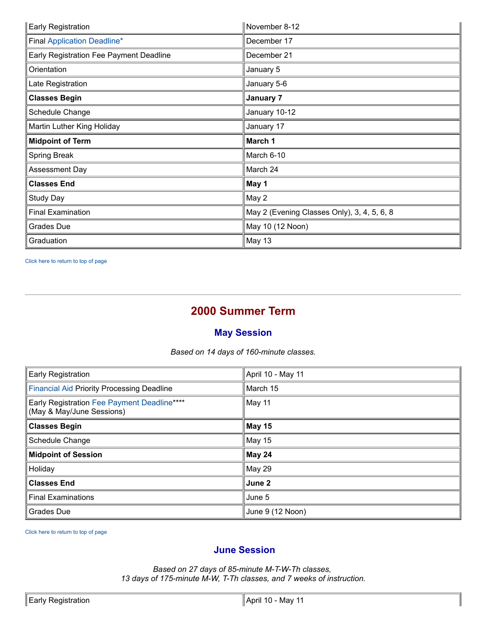| <b>Early Registration</b>               | November 8-12                               |
|-----------------------------------------|---------------------------------------------|
| <b>Final Application Deadline*</b>      | December 17                                 |
| Early Registration Fee Payment Deadline | December 21                                 |
| Orientation                             | January 5                                   |
| Late Registration                       | January 5-6                                 |
| <b>Classes Begin</b>                    | January 7                                   |
| Schedule Change                         | January 10-12                               |
| Martin Luther King Holiday              | January 17                                  |
| <b>Midpoint of Term</b>                 | March 1                                     |
| Spring Break                            | March 6-10                                  |
|                                         |                                             |
| Assessment Day                          | March 24                                    |
| <b>Classes End</b>                      | May 1                                       |
| Study Day                               | May 2                                       |
| <b>Final Examination</b>                | May 2 (Evening Classes Only), 3, 4, 5, 6, 8 |
| <b>Grades Due</b>                       | May 10 (12 Noon)                            |

<span id="page-1-0"></span>Click here to return to top of page

## **2000 Summer Term**

### **May Session**

*Based on 14 days of 160-minute classes.*

<span id="page-1-1"></span>

| Early Registration                                                       | April 10 - May 11 |
|--------------------------------------------------------------------------|-------------------|
| <b>Financial Aid Priority Processing Deadline</b>                        | March 15          |
| Early Registration Fee Payment Deadline****<br>(May & May/June Sessions) | May 11            |
| <b>Classes Begin</b>                                                     | May 15            |
| Schedule Change                                                          | May 15            |
| <b>Midpoint of Session</b>                                               | May 24            |
| Holiday                                                                  | <b>May 29</b>     |
| <b>Classes End</b>                                                       | June 2            |
| <b>Final Examinations</b>                                                | June 5            |
| <b>Grades Due</b>                                                        | June 9 (12 Noon)  |

Click here to return to top of page

#### <span id="page-1-2"></span>**June Session**

*Based on 27 days of 85-minute M-T-W-Th classes, 13 days of 175-minute M-W, T-Th classes, and 7 weeks of instruction.*